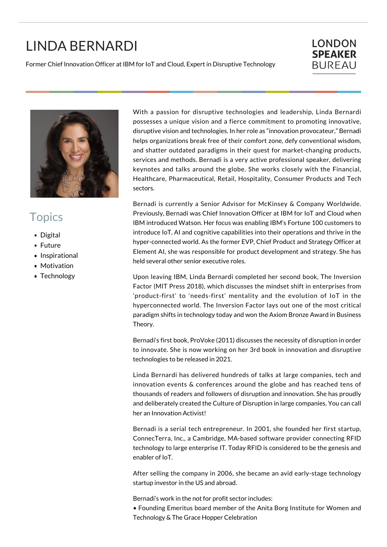## LINDA BERNARDI

Former Chief Innovation Officer at IBM for IoT and Cloud, Expert in Disruptive Technology

## **LONDON SPEAKER BUREAU**



## **Topics**

- Digital
- **Future**
- **Inspirational**
- **Motivation**
- **Technology**

With a passion for disruptive technologies and leadership, Linda Bernardi possesses a unique vision and a fierce commitment to promoting innovative, disruptive vision and technologies. In her role as "innovation provocateur," Bernadi helps organizations break free of their comfort zone, defy conventional wisdom, and shatter outdated paradigms in their quest for market-changing products, services and methods. Bernadi is a very active professional speaker, delivering keynotes and talks around the globe. She works closely with the Financial, Healthcare, Pharmaceutical, Retail, Hospitality, Consumer Products and Tech sectors.

Bernadi is currently a Senior Advisor for McKinsey & Company Worldwide. Previously, Bernadi was Chief Innovation Officer at IBM for IoT and Cloud when IBM introduced Watson. Her focus was enabling IBM's Fortune 100 customers to introduce IoT, AI and cognitive capabilities into their operations and thrive in the hyper-connected world. As the former EVP, Chief Product and Strategy Officer at Element AI, she was responsible for product development and strategy. She has held several other senior executive roles.

Upon leaving IBM, Linda Bernardi completed her second book, The Inversion Factor (MIT Press 2018), which discusses the mindset shift in enterprises from 'product-first' to 'needs-first' mentality and the evolution of IoT in the hyperconnected world. The Inversion Factor lays out one of the most critical paradigm shifts in technology today and won the Axiom Bronze Award in Business Theory.

Bernadi's first book, ProVoke (2011) discusses the necessity of disruption in order to innovate. She is now working on her 3rd book in innovation and disruptive technologies to be released in 2021.

Linda Bernardi has delivered hundreds of talks at large companies, tech and innovation events & conferences around the globe and has reached tens of thousands of readers and followers of disruption and innovation. She has proudly and deliberately created the Culture of Disruption in large companies. You can call her an Innovation Activist!

Bernadi is a serial tech entrepreneur. In 2001, she founded her first startup, ConnecTerra, Inc., a Cambridge, MA-based software provider connecting RFID technology to large enterprise IT. Today RFID is considered to be the genesis and enabler of IoT.

After selling the company in 2006, she became an avid early-stage technology startup investor in the US and abroad.

Bernadi's work in the not for profit sector includes:

• Founding Emeritus board member of the Anita Borg Institute for Women and Technology & The Grace Hopper Celebration